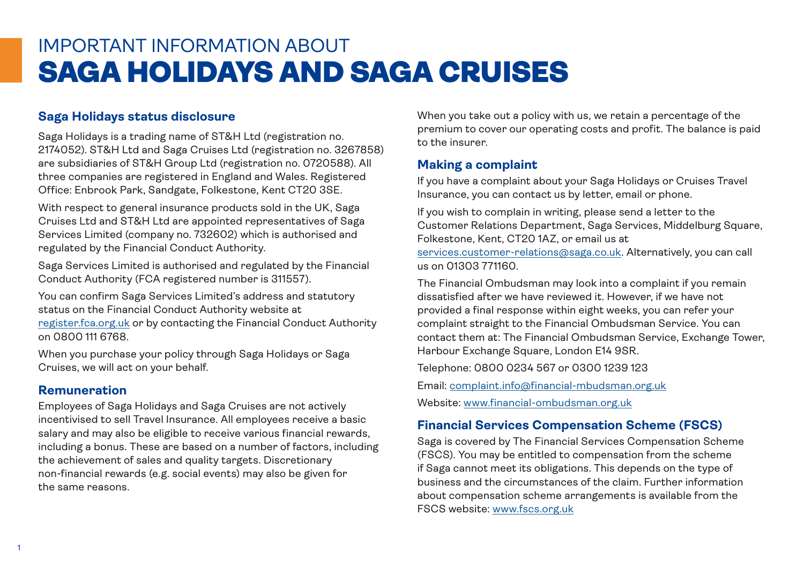# IMPORTANT INFORMATION ABOUT SAGA HOLIDAYS AND SAGA CRUISES

## **Saga Holidays status disclosure**

Saga Holidays is a trading name of ST&H Ltd (registration no. 2174052). ST&H Ltd and Saga Cruises Ltd (registration no. 3267858) are subsidiaries of ST&H Group Ltd (registration no. 0720588). All three companies are registered in England and Wales. Registered Office: Enbrook Park, Sandgate, Folkestone, Kent CT20 3SE.

With respect to general insurance products sold in the UK, Saga Cruises Ltd and ST&H Ltd are appointed representatives of Saga Services Limited (company no. 732602) which is authorised and regulated by the Financial Conduct Authority.

Saga Services Limited is authorised and regulated by the Financial Conduct Authority (FCA registered number is 311557).

You can confirm Saga Services Limited's address and statutory status on the Financial Conduct Authority website at [register.fca.org.uk](http://register.fca.org.uk) or by contacting the Financial Conduct Authority on 0800 111 6768.

When you purchase your policy through Saga Holidays or Saga Cruises, we will act on your behalf.

#### **Remuneration**

Employees of Saga Holidays and Saga Cruises are not actively incentivised to sell Travel Insurance. All employees receive a basic salary and may also be eligible to receive various financial rewards, including a bonus. These are based on a number of factors, including the achievement of sales and quality targets. Discretionary non-financial rewards (e.g. social events) may also be given for the same reasons.

When you take out a policy with us, we retain a percentage of the premium to cover our operating costs and profit. The balance is paid to the insurer.

## **Making a complaint**

If you have a complaint about your Saga Holidays or Cruises Travel Insurance, you can contact us by letter, email or phone.

If you wish to complain in writing, please send a letter to the Customer Relations Department, Saga Services, Middelburg Square, Folkestone, Kent, CT20 1AZ, or email us at [services.customer-relations@saga.co.uk](mailto:services.customer-relations%40saga.co.uk?subject=). Alternatively, you can call us on 01303 771160.

The Financial Ombudsman may look into a complaint if you remain dissatisfied after we have reviewed it. However, if we have not provided a final response within eight weeks, you can refer your complaint straight to the Financial Ombudsman Service. You can contact them at: The Financial Ombudsman Service, Exchange Tower, Harbour Exchange Square, London E14 9SR.

Telephone: 0800 0234 567 or 0300 1239 123

Email: [complaint.info@financial-mbudsman.org.uk](mailto:complaint.info%40financial-mbudsman.org.uk?subject=) Website: [www.financial-ombudsman.org.uk](http://www.financial-ombudsman.org.uk)

#### **Financial Services Compensation Scheme (FSCS)**

Saga is covered by The Financial Services Compensation Scheme (FSCS). You may be entitled to compensation from the scheme if Saga cannot meet its obligations. This depends on the type of business and the circumstances of the claim. Further information about compensation scheme arrangements is available from the FSCS website: [www.fscs.org.uk](http://www.fscs.org.uk)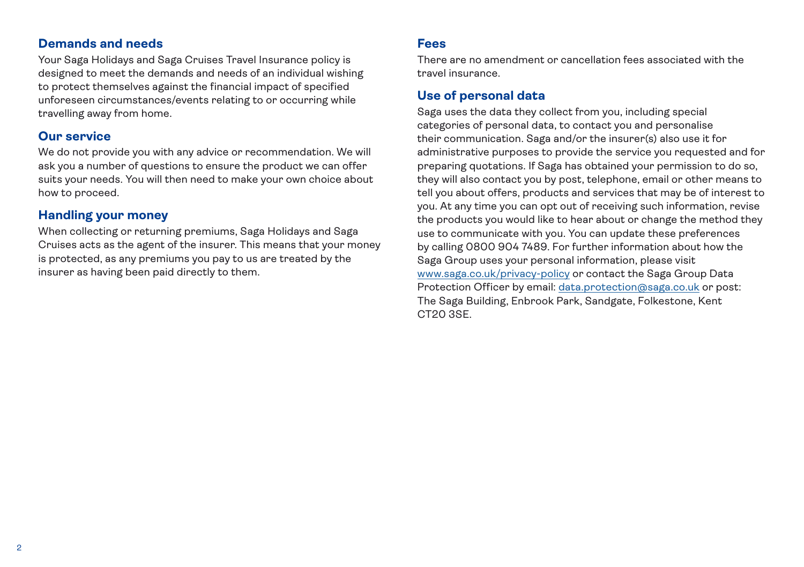#### **Demands and needs**

Your Saga Holidays and Saga Cruises Travel Insurance policy is designed to meet the demands and needs of an individual wishing to protect themselves against the financial impact of specified unforeseen circumstances/events relating to or occurring while travelling away from home.

#### **Our service**

We do not provide you with any advice or recommendation. We will ask you a number of questions to ensure the product we can offer suits your needs. You will then need to make your own choice about how to proceed.

## **Handling your money**

When collecting or returning premiums, Saga Holidays and Saga Cruises acts as the agent of the insurer. This means that your money is protected, as any premiums you pay to us are treated by the insurer as having been paid directly to them.

#### **Fees**

There are no amendment or cancellation fees associated with the travel insurance.

#### **Use of personal data**

Saga uses the data they collect from you, including special categories of personal data, to contact you and personalise their communication. Saga and/or the insurer(s) also use it for administrative purposes to provide the service you requested and for preparing quotations. If Saga has obtained your permission to do so, they will also contact you by post, telephone, email or other means to tell you about offers, products and services that may be of interest to you. At any time you can opt out of receiving such information, revise the products you would like to hear about or change the method they use to communicate with you. You can update these preferences by calling 0800 904 7489. For further information about how the Saga Group uses your personal information, please visit [www.saga.co.uk/privacy-policy](http://www.saga.co.uk/privacy-policy) or contact the Saga Group Data Protection Officer by email: [data.protection@saga.co.uk](mailto:data.protection%40saga.co.uk?subject=) or post: The Saga Building, Enbrook Park, Sandgate, Folkestone, Kent CT20 3SE.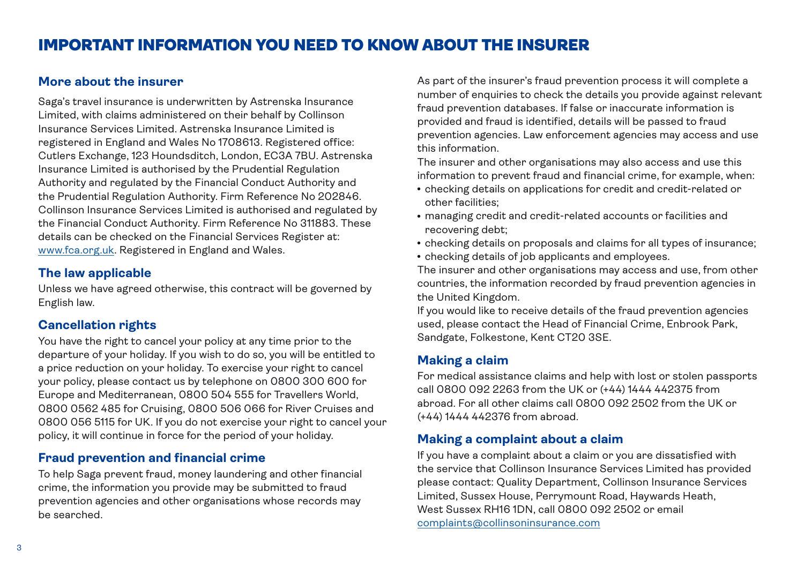#### **More about the insurer**

Saga's travel insurance is underwritten by Astrenska Insurance Limited, with claims administered on their behalf by Collinson Insurance Services Limited. Astrenska Insurance Limited is registered in England and Wales No 1708613. Registered office: Cutlers Exchange, 123 Houndsditch, London, EC3A 7BU. Astrenska Insurance Limited is authorised by the Prudential Regulation Authority and regulated by the Financial Conduct Authority and the Prudential Regulation Authority. Firm Reference No 202846. Collinson Insurance Services Limited is authorised and regulated by the Financial Conduct Authority. Firm Reference No 311883. These details can be checked on the Financial Services Register at: [www.fca.org.uk.](http://www.fca.org.uk) Registered in England and Wales.

# **The law applicable**

Unless we have agreed otherwise, this contract will be governed by English law.

## **Cancellation rights**

You have the right to cancel your policy at any time prior to the departure of your holiday. If you wish to do so, you will be entitled to a price reduction on your holiday. To exercise your right to cancel your policy, please contact us by telephone on 0800 300 600 for Europe and Mediterranean, 0800 504 555 for Travellers World, 0800 0562 485 for Cruising, 0800 506 066 for River Cruises and 0800 056 5115 for UK. If you do not exercise your right to cancel your policy, it will continue in force for the period of your holiday.

## **Fraud prevention and financial crime**

To help Saga prevent fraud, money laundering and other financial crime, the information you provide may be submitted to fraud prevention agencies and other organisations whose records may be searched.

As part of the insurer's fraud prevention process it will complete a number of enquiries to check the details you provide against relevant fraud prevention databases. If false or inaccurate information is provided and fraud is identified, details will be passed to fraud prevention agencies. Law enforcement agencies may access and use this information.

The insurer and other organisations may also access and use this information to prevent fraud and financial crime, for example, when:

- checking details on applications for credit and credit-related or other facilities;
- managing credit and credit-related accounts or facilities and recovering debt;
- checking details on proposals and claims for all types of insurance;
- checking details of job applicants and employees.

The insurer and other organisations may access and use, from other countries, the information recorded by fraud prevention agencies in the United Kingdom.

If you would like to receive details of the fraud prevention agencies used, please contact the Head of Financial Crime, Enbrook Park, Sandgate, Folkestone, Kent CT20 3SE.

## **Making a claim**

For medical assistance claims and help with lost or stolen passports call 0800 092 2263 from the UK or (+44) 1444 442375 from abroad. For all other claims call 0800 092 2502 from the UK or (+44) 1444 442376 from abroad.

## **Making a complaint about a claim**

If you have a complaint about a claim or you are dissatisfied with the service that Collinson Insurance Services Limited has provided please contact: Quality Department, Collinson Insurance Services Limited, Sussex House, Perrymount Road, Haywards Heath, West Sussex RH16 1DN, call 0800 092 2502 or email [complaints@collinsoninsurance.com](mailto:complaints%40collinsoninsurance.com?subject=)